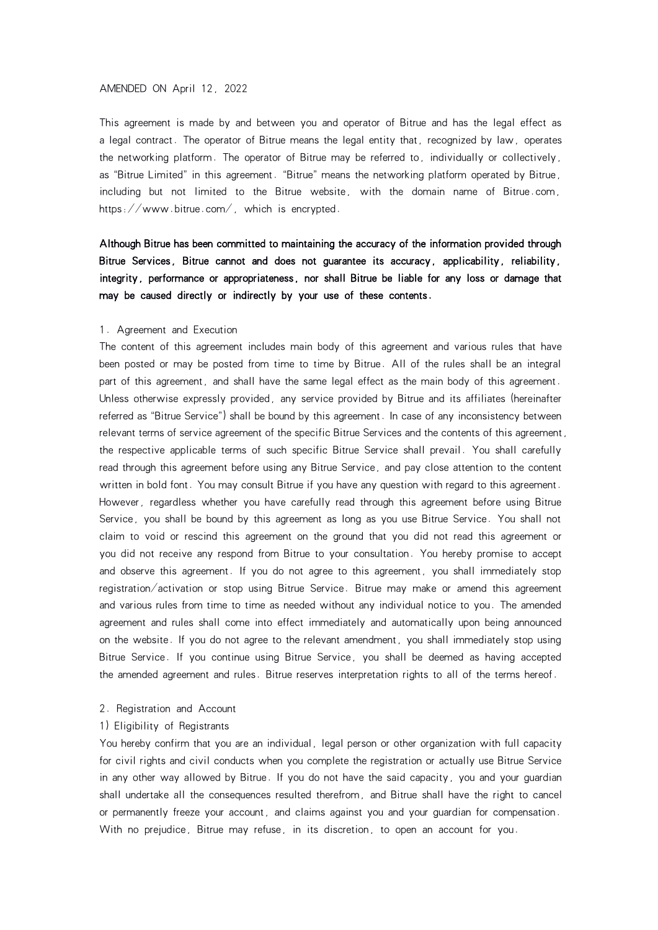#### AMENDED ON April 12, 2022

This agreement is made by and between you and operator of Bitrue and has the legal effect as a legal contract. The operator of Bitrue means the legal entity that, recognized by law, operates the networking platform. The operator of Bitrue may be referred to, individually or collectively, as "Bitrue Limited" in this agreement. "Bitrue" means the networking platform operated by Bitrue, including but not limited to the Bitrue website, with the domain name of Bitrue.com, https://www.bitrue.com/, which is encrypted.

# Although Bitrue has been committed to maintaining the accuracy of the information provided through Bitrue Services, Bitrue cannot and does not guarantee its accuracy, applicability, reliability, integrity, performance or appropriateness, nor shall Bitrue be liable for any loss or damage that may be caused directly or indirectly by your use of these contents.

#### 1. Agreement and Execution

The content of this agreement includes main body of this agreement and various rules that have been posted or may be posted from time to time by Bitrue. All of the rules shall be an integral part of this agreement, and shall have the same legal effect as the main body of this agreement. Unless otherwise expressly provided, any service provided by Bitrue and its affiliates (hereinafter referred as "Bitrue Service") shall be bound by this agreement. In case of any inconsistency between relevant terms of service agreement of the specific Bitrue Services and the contents of this agreement, the respective applicable terms of such specific Bitrue Service shall prevail. You shall carefully read through this agreement before using any Bitrue Service, and pay close attention to the content written in bold font. You may consult Bitrue if you have any question with regard to this agreement. However, regardless whether you have carefully read through this agreement before using Bitrue Service, you shall be bound by this agreement as long as you use Bitrue Service. You shall not claim to void or rescind this agreement on the ground that you did not read this agreement or you did not receive any respond from Bitrue to your consultation. You hereby promise to accept and observe this agreement. If you do not agree to this agreement, you shall immediately stop registration/activation or stop using Bitrue Service. Bitrue may make or amend this agreement and various rules from time to time as needed without any individual notice to you. The amended agreement and rules shall come into effect immediately and automatically upon being announced on the website. If you do not agree to the relevant amendment, you shall immediately stop using Bitrue Service. If you continue using Bitrue Service, you shall be deemed as having accepted the amended agreement and rules. Bitrue reserves interpretation rights to allof the terms hereof.

## 2. Registration and Account

#### 1) Eligibility of Registrants

You hereby confirm that you are an individual, legal person or other organization with full capacity for civil rights and civil conducts when you complete the registration or actually use Bitrue Service in any other way allowed by Bitrue. If you do not have the said capacity, you and your guardian shall undertake all the consequences resulted therefrom, and Bitrue shall have the right to cancel or permanently freeze your account, and claims against you and your guardian for compensation. With no prejudice, Bitrue may refuse, in its discretion, to open an account for you.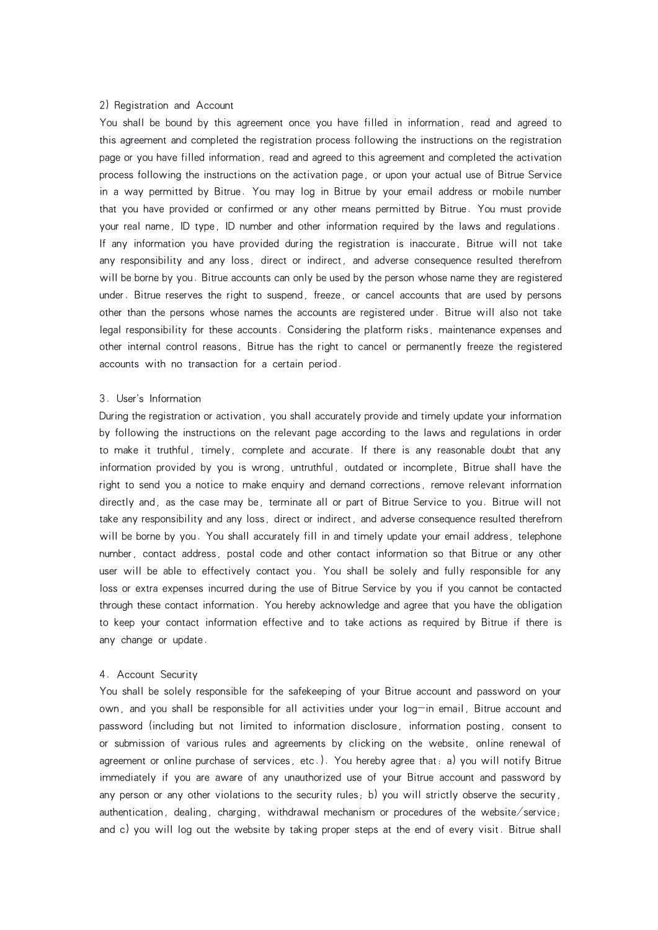#### 2) Registration and Account

You shall be bound by this agreement once you have filled in information, read and agreed to this agreement and completed the registration process following the instructions on the registration page or you have filled information, read and agreed to this agreement and completed the activation process following the instructions on the activation page, or upon your actual use of Bitrue Service in a way permitted by Bitrue. You may log in Bitrue by your email address or mobile number that you have provided or confirmed or any other means permitted by Bitrue. You must provide your real name, ID type, ID number and other information required by the laws and regulations. If any information you have provided during the registration is inaccurate, Bitrue will not take any responsibility and any loss, direct or indirect, and adverse consequence resulted therefrom will be borne by you. Bitrue accounts can only be used by the person whose name they are registered under. Bitrue reserves the right to suspend, freeze, or cancel accounts that are used by persons other than the persons whose names the accounts are registered under. Bitrue will also not take legal responsibility for these accounts. Considering the platform risks, maintenance expenses and other internal control reasons, Bitrue has the right to cancel or permanently freeze the registered accounts with no transaction for a certain period.

# 3. User's Information

During the registration or activation, you shall accurately provide and timely update your information by following the instructions on the relevant page according to the laws and regulations in order to make it truthful, timely, complete and accurate. If there is any reasonable doubt that any information provided by you is wrong, untruthful, outdated or incomplete, Bitrue shall have the right to send you a notice to make enquiry and demand corrections, remove relevant information directly and, as the case may be, terminate all or part of Bitrue Service to you. Bitrue will not take any responsibility and any loss, direct or indirect, and adverse consequence resulted therefrom will be borne by you. You shall accurately fill in and timely update your email address, telephone number, contact address, postal code and other contact information so that Bitrue or any other user will be able to effectively contact you. You shall be solely and fully responsible for any loss or extra expenses incurred during the use of Bitrue Service by you if you cannot be contacted through these contact information. You hereby acknowledge and agree that you have the obligation to keep your contact information effective and to take actions as required by Bitrue if there is any change or update.

# 4. Account Security

You shall be solely responsible for the safekeeping of your Bitrue account and password on your own, and you shall be responsible for all activities under your log-in email, Bitrue account and password (including but not limited to information disclosure, information posting, consent to or submission of various rules and agreements by clicking on the website, online renewal of agreement or online purchase of services, etc.). You hereby agree that: a) you will notify Bitrue immediately if you are aware of any unauthorized use of your Bitrue account and password by any person or any other violations to the security rules; b) you will strictly observe the security, authentication, dealing, charging, withdrawal mechanism or procedures of the website/service; and c) you will log out the website by taking proper steps at the end of every visit. Bitrue shall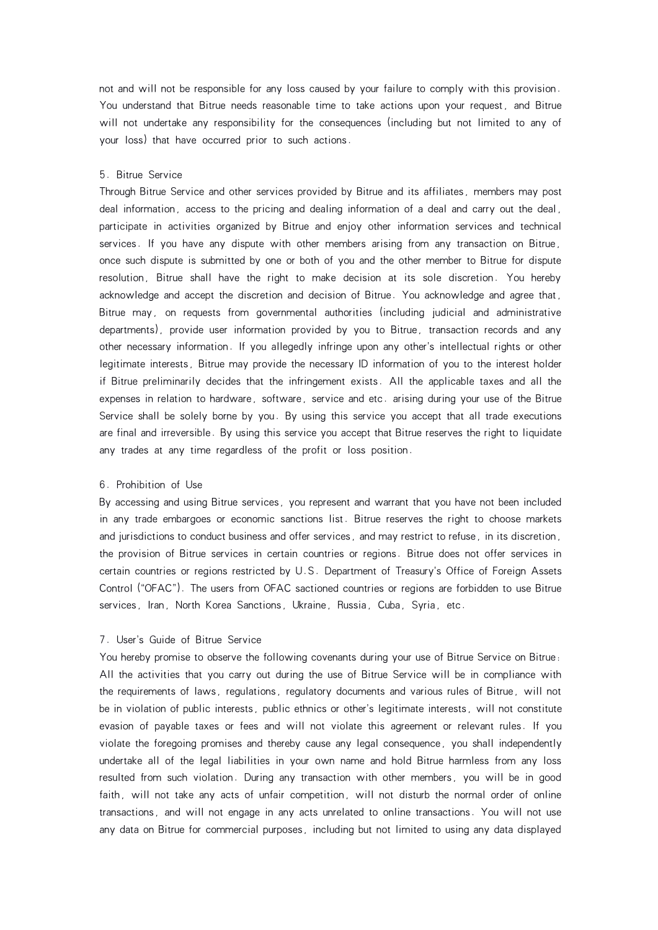not and will not be responsible for any loss caused by your failure to comply with this provision. You understand that Bitrue needs reasonable time to take actions upon your request, and Bitrue will not undertake any responsibility for the consequences (including but not limited to any of your loss) that have occurred prior to such actions.

# 5. Bitrue Service

Through Bitrue Service and other services provided by Bitrue and its affiliates, members may post deal information, access to the pricing and dealing information of a deal and carry out the deal, participate in activities organized by Bitrue and enjoy other information services and technical services. If you have any dispute with other members arising from any transaction on Bitrue, once such dispute is submitted by one or both of you and the other member to Bitrue for dispute resolution, Bitrue shall have the right to make decision at its sole discretion. You hereby acknowledge and accept the discretion and decision of Bitrue. You acknowledge and agree that, Bitrue may, on requests from governmental authorities (including judicial and administrative departments), provide user information provided by you to Bitrue, transaction records and any other necessary information. If you allegedly infringe upon any other's intellectual rights or other legitimate interests, Bitrue may provide the necessary ID information of you to the interest holder if Bitrue preliminarily decides that the infringement exists. All the applicable taxes and all the expenses in relation to hardware, software, service and etc. arising during your use of the Bitrue Service shall be solely borne by you. By using this service you accept that all trade executions are final and irreversible. By using this service you accept that Bitrue reserves the right to liquidate any trades at any time regardless of the profit or loss position.

## 6. Prohibition of Use

By accessing and using Bitrue services, you represent and warrant that you have not been included in any trade embargoes or economic sanctions list. Bitrue reserves the right to choose markets and jurisdictions to conduct business and offer services, and may restrict to refuse, in its discretion, the provision of Bitrue services in certain countries or regions. Bitrue does not offer services in certain countries or regions restricted by U.S. Department of Treasury's Office of Foreign Assets Control ("OFAC"). The users from OFAC sactioned countries or regions are forbidden to use Bitrue services, Iran, North Korea Sanctions, Ukraine, Russia, Cuba, Syria, etc.

# 7. User's Guide of Bitrue Service

You hereby promise to observe the following covenants during your use of Bitrue Service on Bitrue: All the activities that you carry out during the use of Bitrue Service will be in compliance with the requirements of laws, regulations, regulatory documents and various rules of Bitrue, will not be in violation of public interests, public ethnics or other's legitimate interests, will not constitute evasion of payable taxes or fees and will not violate this agreement or relevant rules. If you violate the foregoing promises and thereby cause any legal consequence, you shall independently undertake all of the legal liabilities in your own name and hold Bitrue harmless from any loss resulted from such violation. During any transaction with other members, you will be in good faith, will not take any acts of unfair competition, will not disturb the normal order of online transactions, and will not engage in any acts unrelated to online transactions. You will not use any data on Bitrue for commercial purposes, including but not limited to using any data displayed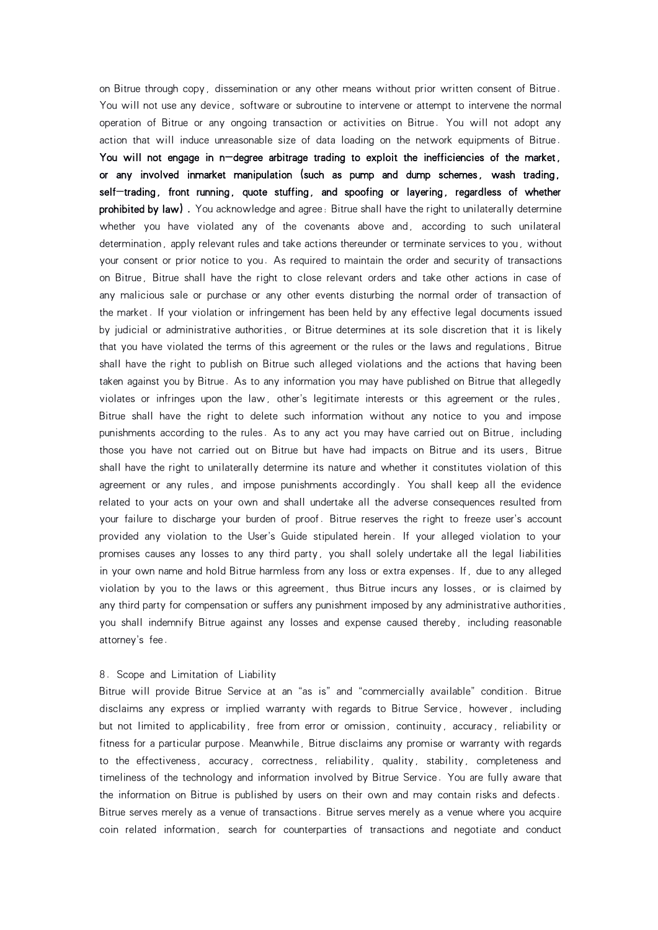on Bitrue through copy, dissemination or any other means without prior written consent of Bitrue. You will not use any device, software or subroutine to intervene or attempt to intervene the normal operation of Bitrue or any ongoing transaction or activities on Bitrue. You will not adopt any action that will induce unreasonable size of data loading on the network equipments of Bitrue. You will not engage in n-degree arbitrage trading to exploit the inefficiencies of the market, or any involved inmarket manipulation (such as pump and dump schemes, wash trading, self-trading, front running, quote stuffing, and spoofing or layering, regardless of whether prohibited by law). You acknowledge and agree: Bitrue shall have the right to unilaterally determine whether you have violated any of the covenants above and, according to such unilateral determination, apply relevant rules and take actions thereunder or terminate services to you, without your consent or prior notice to you. As required to maintain the order and security of transactions on Bitrue, Bitrue shall have the right to close relevant orders and take other actions in case of any malicious sale or purchase or any other events disturbing the normal order of transaction of the market. If your violation or infringement has been held by any effective legal documents issued by judicial or administrative authorities, or Bitrue determines at its sole discretion that it is likely that you have violated the terms of this agreement or the rules or the laws and regulations, Bitrue shall have the right to publish on Bitrue such alleged violations and the actions that having been taken against you by Bitrue. As to any information you may have published on Bitrue that allegedly violates or infringes upon the law, other's legitimate interests or this agreement or the rules, Bitrue shall have the right to delete such information without any notice to you and impose punishments according to the rules. As to any act you may have carried out on Bitrue, including those you have not carried out on Bitrue but have had impacts on Bitrue and its users, Bitrue shall have the right to unilaterally determine its nature and whether it constitutes violation of this agreement or any rules, and impose punishments accordingly. You shall keep all the evidence related to your acts on your own and shall undertake all the adverse consequences resulted from your failure to discharge your burden of proof. Bitrue reserves the right to freeze user's account provided any violation to the User's Guide stipulated herein. If your alleged violation to your promises causes any losses to any third party, you shall solely undertake all the legal liabilities in your own name and hold Bitrue harmless from any loss or extra expenses. If, due to any alleged violation by you to the laws or this agreement, thus Bitrue incurs any losses, or is claimed by any third party for compensation or suffers any punishment imposed by any administrative authorities, you shall indemnify Bitrue against any losses and expense caused thereby, including reasonable attorney's fee.

#### 8. Scope and Limitation of Liability

Bitrue will provide Bitrue Service at an "as is" and "commercially available" condition. Bitrue disclaims any express or implied warranty with regards to Bitrue Service, however, including but not limited to applicability, free from error or omission, continuity, accuracy, reliability or fitness for a particular purpose. Meanwhile, Bitrue disclaims any promise or warranty with regards to the effectiveness, accuracy, correctness, reliability, quality, stability, completeness and timeliness of the technology and information involved by Bitrue Service. You are fully aware that the information on Bitrue is published by users on their own and may contain risks and defects. Bitrue serves merely as a venue of transactions. Bitrue serves merely as a venue where you acquire coin related information, search for counterparties of transactions and negotiate and conduct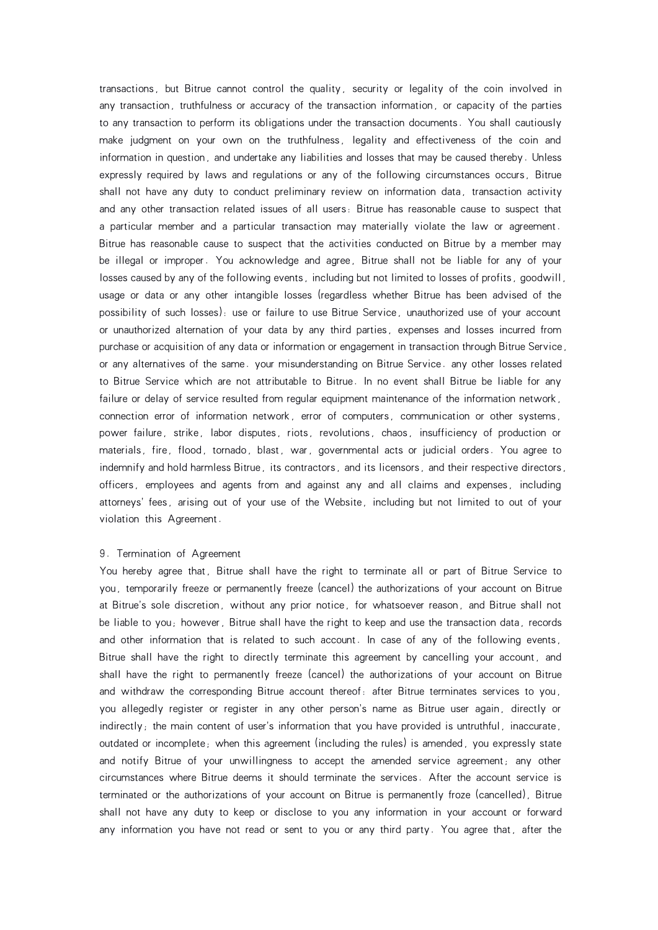transactions, but Bitrue cannot control the quality, security or legality of the coin involved in any transaction, truthfulness or accuracy of the transaction information, or capacity of the parties to any transaction to perform its obligations under the transaction documents. You shall cautiously make judgment on your own on the truthfulness, legality and effectiveness of the coin and information in question, and undertake any liabilities and losses that may be caused thereby. Unless expressly required by laws and regulations or any of the following circumstances occurs, Bitrue shall not have any duty to conduct preliminary review on information data, transaction activity and any other transaction related issues of all users: Bitrue has reasonable cause to suspect that a particular member and aparticular transaction may materially violate the law or agreement. Bitrue has reasonable cause to suspect that the activities conducted on Bitrue by a member may be illegal or improper. You acknowledge and agree, Bitrue shall not be liable for any of your losses caused by any of the following events, including but not limited to losses of profits, goodwill, usage or data or any other intangible losses (regardless whether Bitrue has been advised of the possibility of such losses): use or failure to use Bitrue Service, unauthorized use of your account or unauthorized alternation of your data by any third parties, expenses and losses incurred from purchase or acquisition of any data or information or engagement in transaction through Bitrue Service, or any alternatives of the same. your misunderstanding on Bitrue Service. any other losses related to Bitrue Service which are not attributable to Bitrue. In no event shall Bitrue be liable for any failure or delay of service resulted from regular equipment maintenance of the information network, connection error of information network, error of computers, communication or other systems, power failure, strike, labor disputes, riots, revolutions, chaos, insufficiency of production or materials, fire, flood, tornado, blast, war, governmental acts or judicial orders. You agree to indemnify and hold harmless Bitrue, its contractors, and its licensors, and their respective directors, officers, employees and agents from and against any and all claims and expenses, including attorneys' fees, arising out of your use of the Website, including but not limited to out of your violation this Agreement.

### 9. Termination of Agreement

You hereby agree that, Bitrue shall have the right to terminate all or part of Bitrue Service to you, temporarily freeze or permanently freeze (cancel) the authorizations of your account on Bitrue at Bitrue's sole discretion, without any prior notice, for whatsoever reason, and Bitrue shall not be liable to you; however, Bitrue shall have the right to keep and use the transaction data, records and other information that is related to such account. In case of any of the following events, Bitrue shall have the right to directly terminate this agreement by cancelling your account, and shall have the right to permanently freeze (cancel) the authorizations of your account on Bitrue and withdraw the corresponding Bitrue account thereof: after Bitrue terminates services to you, you allegedly register or register in any other person's name as Bitrue user again, directly or indirectly; the main content of user's information that you have provided is untruthful, inaccurate, outdated or incomplete; when this agreement (including the rules) is amended, you expressly state and notify Bitrue of your unwillingness to accept the amended service agreement; any other circumstances where Bitrue deems it should terminate the services. After the account service is terminated or the authorizations of your account on Bitrue is permanently froze (cancelled), Bitrue shall not have any duty to keep or disclose to you any information in your account or forward any information you have not read or sent to you or any third party. You agree that, after the